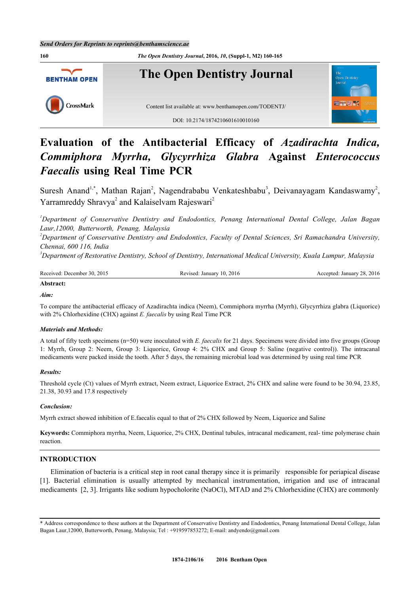

# **Evaluation of the Antibacterial Efficacy of** *Azadirachta Indica, Commiphora Myrrha, Glycyrrhiza Glabra* **Against** *Enterococcus Faecalis* **using Real Time PCR**

Suresh Anand<sup>[1,](#page-0-0)[\\*](#page-0-1)</sup>, Mathan Rajan<sup>[2](#page-0-2)</sup>, Nagendrababu Venkateshbabu<sup>[3](#page-0-3)</sup>, Deivanayagam Kandaswamy<sup>2</sup>, Yarramreddy Shravya<sup>[2](#page-0-2)</sup> and Kalaiselvam Rajeswari<sup>2</sup>

<span id="page-0-0"></span>*<sup>1</sup>Department of Conservative Dentistry and Endodontics, Penang International Dental College, Jalan Bagan Laur,12000, Butterworth, Penang, Malaysia*

<span id="page-0-2"></span>*<sup>2</sup>Department of Conservative Dentistry and Endodontics, Faculty of Dental Sciences, Sri Ramachandra University, Chennai, 600 116, India*

<span id="page-0-3"></span>*<sup>3</sup>Department of Restorative Dentistry, School of Dentistry, International Medical University, Kuala Lumpur, Malaysia*

| Received: December 30, 2015<br>$\ldots$ January 10, 2016<br>28.2016<br>January<br>Accepted:<br>Revised: |
|---------------------------------------------------------------------------------------------------------|
|---------------------------------------------------------------------------------------------------------|

# **Abstract:**

*Aim:*

To compare the antibacterial efficacy of Azadirachta indica (Neem), Commiphora myrrha (Myrrh), Glycyrrhiza glabra (Liquorice) with 2% Chlorhexidine (CHX) against *E. faecalis* by using Real Time PCR

# *Materials and Methods:*

A total of fifty teeth specimens (n=50) were inoculated with *E. faecalis* for 21 days. Specimens were divided into five groups (Group 1: Myrrh, Group 2: Neem, Group 3: Liquorice, Group 4: 2% CHX and Group 5: Saline (negative control)). The intracanal medicaments were packed inside the tooth. After 5 days, the remaining microbial load was determined by using real time PCR

# *Results:*

Threshold cycle (Ct) values of Myrrh extract, Neem extract, Liquorice Extract, 2% CHX and saline were found to be 30.94, 23.85, 21.38, 30.93 and 17.8 respectively

# *Conclusion:*

Myrrh extract showed inhibition of E.faecalis equal to that of 2% CHX followed by Neem, Liquorice and Saline

**Keywords:** Commiphora myrrha, Neem, Liquorice, 2% CHX, Dentinal tubules, intracanal medicament, real- time polymerase chain reaction.

# **INTRODUCTION**

Elimination of bacteria is a critical step in root canal therapy since it is primarily responsible for periapical disease [\[1](#page-3-0)]. Bacterial elimination is usually attempted by mechanical instrumentation, irrigation and use of intracanal medicaments [[2,](#page-3-1) [3\]](#page-3-2). Irrigants like sodium hypocholorite (NaOCl), MTAD and 2% Chlorhexidine (CHX) are commonly

<span id="page-0-1"></span><sup>\*</sup> Address correspondence to these authors at the Department of Conservative Dentistry and Endodontics, Penang International Dental College, Jalan Bagan Laur,12000, Butterworth, Penang, Malaysia; Tel : +919597853272; E-mail: [andyendo@gmail.com](mailto:andyendo@gmail.com)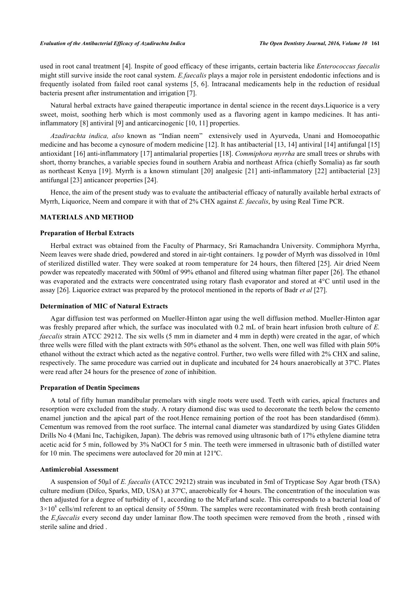used in root canal treatment [[4\]](#page-3-3). Inspite of good efficacy of these irrigants, certain bacteria like *Enterococcus faecalis* might still survive inside the root canal system. *E.faecalis* plays a major role in persistent endodontic infections and is frequently isolated from failed root canal systems [[5,](#page-3-4) [6](#page-3-5)]. Intracanal medicaments help in the reduction of residual bacteria present after instrumentation and irrigation [\[7](#page-3-6)].

Natural herbal extracts have gained therapeutic importance in dental science in the recent days.Liquorice is a very sweet, moist, soothing herb which is most commonly used as a flavoring agent in kampo medicines. It has antiinflammatory [[8\]](#page-3-7) antiviral [[9\]](#page-4-0) and anticarcinogenic [[10,](#page-4-1) [11\]](#page-4-2) properties.

*Azadirachta indica, also* known as "Indian neem" extensively used in Ayurveda, Unani and Homoeopathic medicine and has become a cynosure of modern medicine [[12\]](#page-4-3). It has antibacterial [[13,](#page-4-4) [14\]](#page-4-5) antiviral [[14\]](#page-4-5) antifungal [\[15](#page-4-6)] antioxidant [[16\]](#page-4-7) anti-inflammatory [\[17](#page-4-8)] antimalarial properties [[18\]](#page-4-9). *Commiphora myrrha* are small trees or shrubs with short, thorny branches, a variable species found in southern Arabia and northeast Africa (chiefly Somalia) as far south as northeast Kenya [[19\]](#page-4-10). Myrrh is a known stimulant [[20\]](#page-4-11) analgesic [\[21](#page-4-12)] anti-inflammatory [[22](#page-4-13)] antibacterial [[23](#page-4-14)] antifungal [\[23](#page-4-14)] anticancer properties [\[24](#page-4-15)].

Hence, the aim of the present study was to evaluate the antibacterial efficacy of naturally available herbal extracts of Myrrh, Liquorice, Neem and compare it with that of 2% CHX against *E. faecalis*, by using Real Time PCR.

# **MATERIALS AND METHOD**

#### **Preparation of Herbal Extracts**

Herbal extract was obtained from the Faculty of Pharmacy, Sri Ramachandra University. Commiphora Myrrha, Neem leaves were shade dried, powdered and stored in air-tight containers. 1g powder of Myrrh was dissolved in 10ml of sterilized distilled water. They were soaked at room temperature for 24 hours, then filtered [[25](#page-4-16)]. Air dried Neem powder was repeatedly macerated with 500ml of 99% ethanol and filtered using whatman filter paper [\[26](#page-4-17)]. The ethanol was evaporated and the extracts were concentrated using rotary flash evaporator and stored at 4°C until used in the assay [\[26](#page-4-17)]. Liquorice extract was prepared by the protocol mentioned in the reports of Badr *et al* [\[27](#page-4-18)].

#### **Determination of MIC of Natural Extracts**

Agar diffusion test was performed on Mueller-Hinton agar using the well diffusion method. Mueller-Hinton agar was freshly prepared after which, the surface was inoculated with 0.2 mL of brain heart infusion broth culture of *E. faecalis* strain ATCC 29212. The six wells (5 mm in diameter and 4 mm in depth) were created in the agar, of which three wells were filled with the plant extracts with 50% ethanol as the solvent. Then, one well was filled with plain 50% ethanol without the extract which acted as the negative control. Further, two wells were filled with 2% CHX and saline, respectively. The same procedure was carried out in duplicate and incubated for 24 hours anaerobically at 37ºC. Plates were read after 24 hours for the presence of zone of inhibition.

#### **Preparation of Dentin Specimens**

A total of fifty human mandibular premolars with single roots were used. Teeth with caries, apical fractures and resorption were excluded from the study. A rotary diamond disc was used to decoronate the teeth below the cemento enamel junction and the apical part of the root.Hence remaining portion of the root has been standardised (6mm). Cementum was removed from the root surface. The internal canal diameter was standardized by using Gates Glidden Drills No 4 (Mani Inc, Tachigiken, Japan). The debris was removed using ultrasonic bath of 17% ethylene diamine tetra acetic acid for 5 min, followed by 3% NaOCl for 5 min. The teeth were immersed in ultrasonic bath of distilled water for 10 min. The specimens were autoclaved for 20 min at 121ºC.

#### **Antimicrobial Assessment**

A suspension of 50µl of *E. faecalis* (ATCC 29212) strain was incubated in 5ml of Trypticase Soy Agar broth (TSA) culture medium (Difco, Sparks, MD, USA) at 37ºC, anaerobically for 4 hours. The concentration of the inoculation was then adjusted for a degree of turbidity of 1, according to the McFarland scale. This corresponds to a bacterial load of  $3\times10^8$  cells/ml referent to an optical density of 550nm. The samples were recontaminated with fresh broth containing the *E,faecalis* every second day under laminar flow.The tooth specimen were removed from the broth , rinsed with sterile saline and dried .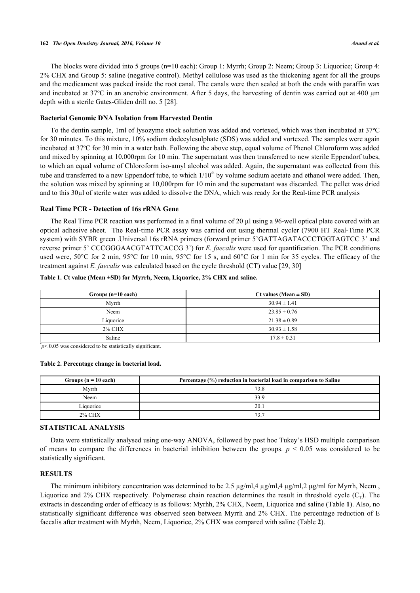#### **162** *The Open Dentistry Journal, 2016, Volume 10 Anand et al.*

The blocks were divided into 5 groups (n=10 each): Group 1: Myrrh; Group 2: Neem; Group 3: Liquorice; Group 4: 2% CHX and Group 5: saline (negative control). Methyl cellulose was used as the thickening agent for all the groups and the medicament was packed inside the root canal. The canals were then sealed at both the ends with paraffin wax and incubated at 37ºC in an anerobic environment. After 5 days, the harvesting of dentin was carried out at 400 μm depth with a sterile Gates-Gliden drill no. 5 [\[28](#page-4-19)].

## **Bacterial Genomic DNA Isolation from Harvested Dentin**

To the dentin sample, 1ml of lysozyme stock solution was added and vortexed, which was then incubated at 37ºC for 30 minutes. To this mixture, 10% sodium dodecylesulphate (SDS) was added and vortexed. The samples were again incubated at 37ºC for 30 min in a water bath. Following the above step, equal volume of Phenol Chloroform was added and mixed by spinning at 10,000rpm for 10 min. The supernatant was then transferred to new sterile Eppendorf tubes, to which an equal volume of Chloroform iso-amyl alcohol was added. Again, the supernatant was collected from this tube and transferred to a new Eppendorf tube, to which  $1/10<sup>th</sup>$  by volume sodium acetate and ethanol were added. Then, the solution was mixed by spinning at 10,000rpm for 10 min and the supernatant was discarded. The pellet was dried and to this 30µl of sterile water was added to dissolve the DNA, which was ready for the Real-time PCR analysis

#### **Real Time PCR - Detection of 16s rRNA Gene**

The Real Time PCR reaction was performed in a final volume of 20 µl using a 96-well optical plate covered with an optical adhesive sheet. The Real-time PCR assay was carried out using thermal cycler (7900 HT Real-Time PCR system) with SYBR green .Universal 16s rRNA primers (forward primer 5'GATTAGATACCCTGGTAGTCC 3' and reverse primer 5' CCCGGGAACGTATTCACCG 3') for *E. faecalis* were used for quantification. The PCR conditions used were, 50°C for 2 min, 95°C for 10 min, 95°C for 15 s, and 60°C for 1 min for 35 cycles. The efficacy of the treatment against *E. faecalis* was calculated based on the cycle threshold (CT) value [[29](#page-4-20)[, 30\]](#page-5-0)

| Groups (n=10 each) | Ct values (Mean $\pm$ SD) |
|--------------------|---------------------------|
| Myrrh              | $30.94 \pm 1.41$          |
| Neem               | $23.85 \pm 0.76$          |
| Liquorice          | $21.38 \pm 0.89$          |
| <b>2% CHX</b>      | $30.93 \pm 1.58$          |
| Saline             | $17.8 \pm 0.31$           |

#### <span id="page-2-0"></span>**Table 1. Ct value (Mean ±SD) for Myrrh, Neem, Liquorice, 2% CHX and saline.**

 $p$  < 0.05 was considered to be statistically significant.

#### <span id="page-2-1"></span>**Table 2. Percentage change in bacterial load.**

| Groups $(n = 10$ each) | Percentage (%) reduction in bacterial load in comparison to Saline |
|------------------------|--------------------------------------------------------------------|
| Myrrh                  | 73.8                                                               |
| Neem                   | 33.9                                                               |
| Liquorice              | 20.1                                                               |
| <b>2% CHX</b>          | 73.7                                                               |

# **STATISTICAL ANALYSIS**

Data were statistically analysed using one-way ANOVA, followed by post hoc Tukey's HSD multiple comparison of means to compare the differences in bacterial inhibition between the groups.  $p \le 0.05$  was considered to be statistically significant.

# **RESULTS**

The minimum inhibitory concentration was determined to be 2.5  $\mu$ g/ml,4  $\mu$ g/ml,4  $\mu$ g/ml,2  $\mu$ g/ml for Myrrh, Neem, Liquorice and 2% CHX respectively. Polymerase chain reaction determines the result in threshold cycle  $(C_T)$ . The extracts in descending order of efficacy is as follows: Myrhh, 2% CHX, Neem, Liquorice and saline (Table **[1](#page-2-0)**). Also, no statistically significant difference was observed seen between Myrrh and 2% CHX. The percentage reduction of E faecalis after treatment with Myrhh, Neem, Liquorice, 2% CHX was compared with saline (Table **[2](#page-2-1)**).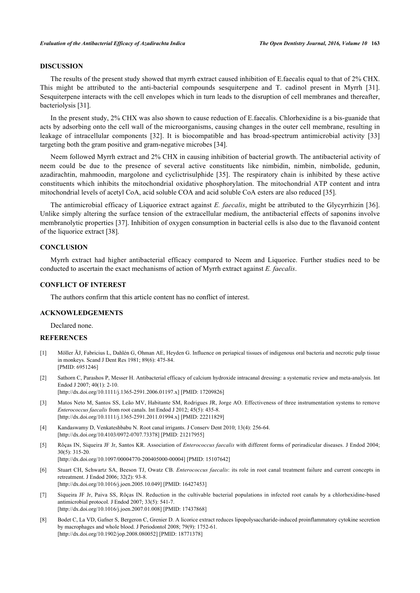# **DISCUSSION**

The results of the present study showed that myrrh extract caused inhibition of E.faecalis equal to that of 2% CHX. This might be attributed to the anti-bacterial compounds sesquiterpene and T. cadinol present in Myrrh [\[31\]](#page-5-1). Sesquiterpene interacts with the cell envelopes which in turn leads to the disruption of cell membranes and thereafter, bacteriolysis [\[31](#page-5-1)].

In the present study, 2% CHX was also shown to cause reduction of E.faecalis. Chlorhexidine is a bis-guanide that acts by adsorbing onto the cell wall of the microorganisms, causing changes in the outer cell membrane, resulting in leakage of intracellular components [\[32\]](#page-5-2). It is biocompatible and has broad-spectrum antimicrobial activity[[33](#page-5-3)] targeting both the gram positive and gram-negative microbes [[34\]](#page-5-4).

Neem followed Myrrh extract and 2% CHX in causing inhibition of bacterial growth. The antibacterial activity of neem could be due to the presence of several active constituents like nimbidin, nimbin, nimbolide, gedunin, azadirachtin, mahmoodin, margolone and cyclictrisulphide[[35](#page-5-5)]. The respiratory chain is inhibited by these active constituents which inhibits the mitochondrial oxidative phosphorylation. The mitochondrial ATP content and intra mitochondrial levels of acetyl CoA, acid soluble COA and acid soluble CoA esters are also reduced [\[35](#page-5-5)].

The antimicrobial efficacy of Liquorice extract against *E. faecalis*, might be attributed to the Glycyrrhizin [\[36\]](#page-5-6). Unlike simply altering the surface tension of the extracellular medium, the antibacterial effects of saponins involve membranolytic properties [\[37](#page-5-7)]. Inhibition of oxygen consumption in bacterial cells is also due to the flavanoid content of the liquorice extract [\[38](#page-5-8)].

# **CONCLUSION**

Myrrh extract had higher antibacterial efficacy compared to Neem and Liquorice. Further studies need to be conducted to ascertain the exact mechanisms of action of Myrrh extract against *E. faecalis*.

## **CONFLICT OF INTEREST**

The authors confirm that this article content has no conflict of interest.

# **ACKNOWLEDGEMENTS**

Declared none.

#### **REFERENCES**

- <span id="page-3-0"></span>[1] Möller ÃJ, Fabricius L, Dahlén G, Ohman AE, Heyden G. Influence on periapical tissues of indigenous oral bacteria and necrotic pulp tissue in monkeys. Scand J Dent Res 1981; 89(6): 475-84. [PMID: [6951246\]](http://www.ncbi.nlm.nih.gov/pubmed/6951246)
- <span id="page-3-1"></span>[2] Sathorn C, Parashos P, Messer H. Antibacterial efficacy of calcium hydroxide intracanal dressing: a systematic review and meta-analysis. Int Endod J 2007; 40(1): 2-10. [\[http://dx.doi.org/10.1111/j.1365-2591.2006.01197.x\]](http://dx.doi.org/10.1111/j.1365-2591.2006.01197.x) [PMID: [17209826](http://www.ncbi.nlm.nih.gov/pubmed/17209826)]
- <span id="page-3-2"></span>[3] Matos Neto M, Santos SS, Leão MV, Habitante SM, Rodrigues JR, Jorge AO. Effectiveness of three instrumentation systems to remove *Enterococcus faecalis* from root canals. Int Endod J 2012; 45(5): 435-8. [\[http://dx.doi.org/10.1111/j.1365-2591.2011.01994.x\]](http://dx.doi.org/10.1111/j.1365-2591.2011.01994.x) [PMID: [22211829](http://www.ncbi.nlm.nih.gov/pubmed/22211829)]
- <span id="page-3-3"></span>[4] Kandaswamy D, Venkateshbabu N. Root canal irrigants. J Conserv Dent 2010; 13(4): 256-64. [\[http://dx.doi.org/10.4103/0972-0707.73378](http://dx.doi.org/10.4103/0972-0707.73378)] [PMID: [21217955](http://www.ncbi.nlm.nih.gov/pubmed/21217955)]
- <span id="page-3-4"></span>[5] Rôças IN, Siqueira JF Jr, Santos KR. Association of *Enterococcus faecalis* with different forms of periradicular diseases. J Endod 2004; 30(5): 315-20.
	- [\[http://dx.doi.org/10.1097/00004770-200405000-00004](http://dx.doi.org/10.1097/00004770-200405000-00004)] [PMID: [15107642\]](http://www.ncbi.nlm.nih.gov/pubmed/15107642)
- <span id="page-3-5"></span>[6] Stuart CH, Schwartz SA, Beeson TJ, Owatz CB. *Enterococcus faecalis*: its role in root canal treatment failure and current concepts in retreatment. J Endod 2006; 32(2): 93-8. [\[http://dx.doi.org/10.1016/j.joen.2005.10.049\]](http://dx.doi.org/10.1016/j.joen.2005.10.049) [PMID: [16427453](http://www.ncbi.nlm.nih.gov/pubmed/16427453)]
- <span id="page-3-6"></span>[7] Siqueira JF Jr, Paiva SS, Rôças IN. Reduction in the cultivable bacterial populations in infected root canals by a chlorhexidine-based antimicrobial protocol. J Endod 2007; 33(5): 541-7. [\[http://dx.doi.org/10.1016/j.joen.2007.01.008\]](http://dx.doi.org/10.1016/j.joen.2007.01.008) [PMID: [17437868](http://www.ncbi.nlm.nih.gov/pubmed/17437868)]
- <span id="page-3-7"></span>[8] Bodet C, La VD, Gafner S, Bergeron C, Grenier D. A licorice extract reduces lipopolysaccharide-induced proinflammatory cytokine secretion by macrophages and whole blood. J Periodontol 2008; 79(9): 1752-61. [\[http://dx.doi.org/10.1902/jop.2008.080052](http://dx.doi.org/10.1902/jop.2008.080052)] [PMID: [18771378\]](http://www.ncbi.nlm.nih.gov/pubmed/18771378)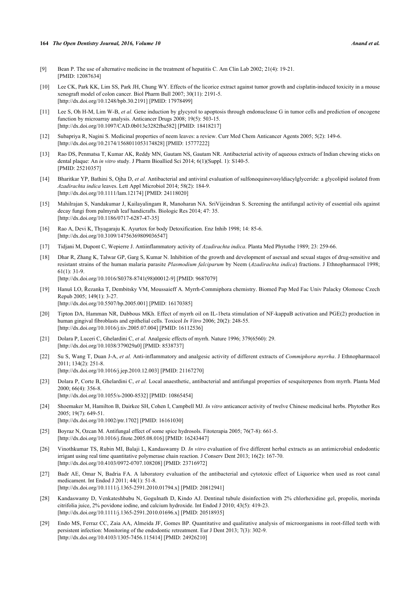#### **164** *The Open Dentistry Journal, 2016, Volume 10 Anand et al.*

- <span id="page-4-0"></span>[9] Bean P. The use of alternative medicine in the treatment of hepatitis C. Am Clin Lab 2002; 21(4): 19-21. [PMID: [12087634\]](http://www.ncbi.nlm.nih.gov/pubmed/12087634)
- <span id="page-4-1"></span>[10] Lee CK, Park KK, Lim SS, Park JH, Chung WY. Effects of the licorice extract against tumor growth and cisplatin-induced toxicity in a mouse xenograft model of colon cancer. Biol Pharm Bull 2007; 30(11): 2191-5. [\[http://dx.doi.org/10.1248/bpb.30.2191\]](http://dx.doi.org/10.1248/bpb.30.2191) [PMID: [17978499](http://www.ncbi.nlm.nih.gov/pubmed/17978499)]
- <span id="page-4-2"></span>[11] Lee S, Oh H-M, Lim W-B, *et al.* Gene induction by glycyrol to apoptosis through endonuclease G in tumor cells and prediction of oncogene function by microarray analysis. Anticancer Drugs 2008; 19(5): 503-15. [\[http://dx.doi.org/10.1097/CAD.0b013e3282fba582](http://dx.doi.org/10.1097/CAD.0b013e3282fba582)] [PMID: [18418217](http://www.ncbi.nlm.nih.gov/pubmed/18418217)]
- <span id="page-4-3"></span>[12] Subapriya R, Nagini S. Medicinal properties of neem leaves: a review. Curr Med Chem Anticancer Agents 2005; 5(2): 149-6. [\[http://dx.doi.org/10.2174/1568011053174828\]](http://dx.doi.org/10.2174/1568011053174828) [PMID: [15777222](http://www.ncbi.nlm.nih.gov/pubmed/15777222)]
- <span id="page-4-4"></span>[13] Rao DS, Penmatsa T, Kumar AK, Reddy MN, Gautam NS, Gautam NR. Antibacterial activity of aqueous extracts of Indian chewing sticks on dental plaque: An *in vitro* study. J Pharm Bioallied Sci 2014; 6(1)(Suppl. 1): S140-5. [PMID: [25210357\]](http://www.ncbi.nlm.nih.gov/pubmed/25210357)
- <span id="page-4-5"></span>[14] Bharitkar YP, Bathini S, Ojha D, *et al.* Antibacterial and antiviral evaluation of sulfonoquinovosyldiacylglyceride: a glycolipid isolated from *Azadirachta indica* leaves. Lett Appl Microbiol 2014; 58(2): 184-9. [\[http://dx.doi.org/10.1111/lam.12174\]](http://dx.doi.org/10.1111/lam.12174) [PMID: [24118020](http://www.ncbi.nlm.nih.gov/pubmed/24118020)]
- <span id="page-4-6"></span>[15] Mahilrajan S, Nandakumar J, Kailayalingam R, Manoharan NA. SriVijeindran S. Screening the antifungal activity of essential oils against decay fungi from palmyrah leaf handicrafts. Biologic Res 2014; 47: 35. [\[http://dx.doi.org/10.1186/0717-6287-47-35\]](http://dx.doi.org/10.1186/0717-6287-47-35)
- <span id="page-4-7"></span>[16] Rao A, Devi K, Thyagaraju K. Ayurtox for body Detoxification. Enz Inhib 1998; 14: 85-6. [\[http://dx.doi.org/10.3109/14756369809036547\]](http://dx.doi.org/10.3109/14756369809036547)
- <span id="page-4-8"></span>[17] Tidjani M, Dupont C, Wepierre J. Antiinflammatory activity of *Azadirachta indica*. Planta Med Phytothe 1989; 23: 259-66.
- <span id="page-4-9"></span>[18] Dhar R, Zhang K, Talwar GP, Garg S, Kumar N. Inhibition of the growth and development of asexual and sexual stages of drug-sensitive and resistant strains of the human malaria parasite *Plasmodium falciparum* by Neem (*Azadirachta indica*) fractions. J Ethnopharmacol 1998;  $61(1)$ : 31-9 [\[http://dx.doi.org/10.1016/S0378-8741\(98\)00012-9\]](http://dx.doi.org/10.1016/S0378-8741(98)00012-9) [PMID: [9687079](http://www.ncbi.nlm.nih.gov/pubmed/9687079)]
- <span id="page-4-10"></span>[19] Hanuš LO, Řezanka T, Dembitsky VM, Moussaieff A. Myrrh-Commiphora chemistry. Biomed Pap Med Fac Univ Palacky Olomouc Czech Repub 2005; 149(1): 3-27. [\[http://dx.doi.org/10.5507/bp.2005.001\]](http://dx.doi.org/10.5507/bp.2005.001) [PMID: [16170385](http://www.ncbi.nlm.nih.gov/pubmed/16170385)]
- <span id="page-4-11"></span>[20] Tipton DA, Hamman NR, Dabbous MKh. Effect of myrrh oil on IL-1beta stimulation of NF-kappaB activation and PGE(2) production in human gingival fibroblasts and epithelial cells. Toxicol *In Vitro* 2006; 20(2): 248-55. [\[http://dx.doi.org/10.1016/j.tiv.2005.07.004](http://dx.doi.org/10.1016/j.tiv.2005.07.004)] [PMID: [16112536](http://www.ncbi.nlm.nih.gov/pubmed/16112536)]
- <span id="page-4-12"></span>[21] Dolara P, Luceri C, Ghelardini C, *et al.* Analgesic effects of myrrh. Nature 1996; 379(6560): 29. [\[http://dx.doi.org/10.1038/379029a0](http://dx.doi.org/10.1038/379029a0)] [PMID: [8538737\]](http://www.ncbi.nlm.nih.gov/pubmed/8538737)
- <span id="page-4-13"></span>[22] Su S, Wang T, Duan J-A, *et al.* Anti-inflammatory and analgesic activity of different extracts of *Commiphora myrrha*. J Ethnopharmacol 2011; 134(2): 251-8.
	- [\[http://dx.doi.org/10.1016/j.jep.2010.12.003\]](http://dx.doi.org/10.1016/j.jep.2010.12.003) [PMID: [21167270](http://www.ncbi.nlm.nih.gov/pubmed/21167270)]
- <span id="page-4-14"></span>[23] Dolara P, Corte B, Ghelardini C, *et al.* Local anaesthetic, antibacterial and antifungal properties of sesquiterpenes from myrrh. Planta Med 2000; 66(4): 356-8. [\[http://dx.doi.org/10.1055/s-2000-8532](http://dx.doi.org/10.1055/s-2000-8532)] [PMID: [10865454\]](http://www.ncbi.nlm.nih.gov/pubmed/10865454)
- <span id="page-4-15"></span>[24] Shoemaker M, Hamilton B, Dairkee SH, Cohen I, Campbell MJ. *In vitro* anticancer activity of twelve Chinese medicinal herbs. Phytother Res 2005; 19(7): 649-51. [\[http://dx.doi.org/10.1002/ptr.1702\]](http://dx.doi.org/10.1002/ptr.1702) [PMID: [16161030](http://www.ncbi.nlm.nih.gov/pubmed/16161030)]
- <span id="page-4-16"></span>[25] Boyraz N, Ozcan M. Antifungal effect of some spice hydrosols. Fitoterapia 2005; 76(7-8): 661-5. [\[http://dx.doi.org/10.1016/j.fitote.2005.08.016\]](http://dx.doi.org/10.1016/j.fitote.2005.08.016) [PMID: [16243447](http://www.ncbi.nlm.nih.gov/pubmed/16243447)]
- <span id="page-4-17"></span>[26] Vinothkumar TS, Rubin MI, Balaji L, Kandaswamy D. *In vitro* evaluation of five different herbal extracts as an antimicrobial endodontic irrigant using real time quantitative polymerase chain reaction. J Conserv Dent 2013; 16(2): 167-70. [\[http://dx.doi.org/10.4103/0972-0707.108208](http://dx.doi.org/10.4103/0972-0707.108208)] [PMID: [23716972](http://www.ncbi.nlm.nih.gov/pubmed/23716972)]
- <span id="page-4-18"></span>[27] Badr AE, Omar N, Badria FA. A laboratory evaluation of the antibacterial and cytotoxic effect of Liquorice when used as root canal medicament. Int Endod J 2011; 44(1): 51-8. [\[http://dx.doi.org/10.1111/j.1365-2591.2010.01794.x\]](http://dx.doi.org/10.1111/j.1365-2591.2010.01794.x) [PMID: [20812941](http://www.ncbi.nlm.nih.gov/pubmed/20812941)]
- <span id="page-4-19"></span>[28] Kandaswamy D, Venkateshbabu N, Gogulnath D, Kindo AJ. Dentinal tubule disinfection with 2% chlorhexidine gel, propolis, morinda citrifolia juice, 2% povidone iodine, and calcium hydroxide. Int Endod J 2010; 43(5): 419-23. [\[http://dx.doi.org/10.1111/j.1365-2591.2010.01696.x\]](http://dx.doi.org/10.1111/j.1365-2591.2010.01696.x) [PMID: [20518935](http://www.ncbi.nlm.nih.gov/pubmed/20518935)]
- <span id="page-4-20"></span>[29] Endo MS, Ferraz CC, Zaia AA, Almeida JF, Gomes BP. Quantitative and qualitative analysis of microorganisms in root-filled teeth with persistent infection: Monitoring of the endodontic retreatment. Eur J Dent 2013; 7(3): 302-9. [\[http://dx.doi.org/10.4103/1305-7456.115414](http://dx.doi.org/10.4103/1305-7456.115414)] [PMID: [24926210](http://www.ncbi.nlm.nih.gov/pubmed/24926210)]